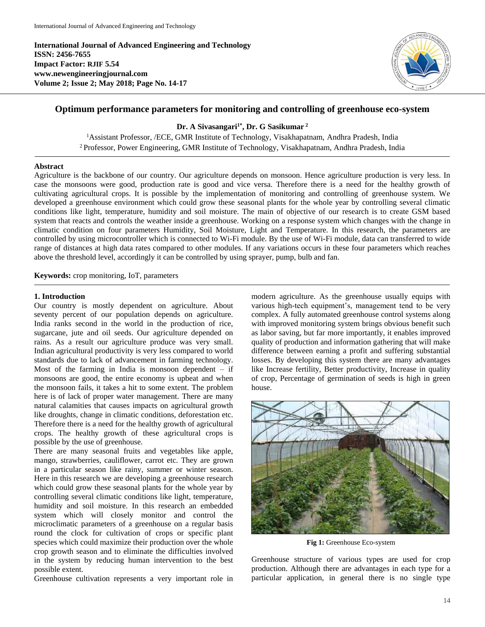**International Journal of Advanced Engineering and Technology ISSN: 2456-7655 Impact Factor: RJIF 5.54 www.newengineeringjournal.com Volume 2; Issue 2; May 2018; Page No. 14-17**



# **Optimum performance parameters for monitoring and controlling of greenhouse eco-system**

**Dr. A Sivasangari1\* , Dr. G Sasikumar <sup>2</sup>**

<sup>1</sup>Assistant Professor, /ECE, GMR Institute of Technology, Visakhapatnam, Andhra Pradesh, India <sup>2</sup>Professor, Power Engineering, GMR Institute of Technology, Visakhapatnam, Andhra Pradesh, India

#### **Abstract**

Agriculture is the backbone of our country. Our agriculture depends on monsoon. Hence agriculture production is very less. In case the monsoons were good, production rate is good and vice versa. Therefore there is a need for the healthy growth of cultivating agricultural crops. It is possible by the implementation of monitoring and controlling of greenhouse system. We developed a greenhouse environment which could grow these seasonal plants for the whole year by controlling several climatic conditions like light, temperature, humidity and soil moisture. The main of objective of our research is to create GSM based system that reacts and controls the weather inside a greenhouse. Working on a response system which changes with the change in climatic condition on four parameters Humidity, Soil Moisture, Light and Temperature. In this research, the parameters are controlled by using microcontroller which is connected to Wi-Fi module. By the use of Wi-Fi module, data can transferred to wide range of distances at high data rates compared to other modules. If any variations occurs in these four parameters which reaches above the threshold level, accordingly it can be controlled by using sprayer, pump, bulb and fan.

**Keywords:** crop monitoring, IoT, parameters

#### **1. Introduction**

Our country is mostly dependent on agriculture. About seventy percent of our population depends on agriculture. India ranks second in the world in the production of rice, sugarcane, jute and oil seeds. Our agriculture depended on rains. As a result our agriculture produce was very small. Indian agricultural productivity is very less compared to world standards due to lack of advancement in farming technology. Most of the farming in India is monsoon dependent  $-$  if monsoons are good, the entire economy is upbeat and when the monsoon fails, it takes a hit to some extent. The problem here is of lack of proper water management. There are many natural calamities that causes impacts on agricultural growth like droughts, change in climatic conditions, deforestation etc. Therefore there is a need for the healthy growth of agricultural crops. The healthy growth of these agricultural crops is possible by the use of greenhouse.

There are many seasonal fruits and vegetables like apple, mango, strawberries, cauliflower, carrot etc. They are grown in a particular season like rainy, summer or winter season. Here in this research we are developing a greenhouse research which could grow these seasonal plants for the whole year by controlling several climatic conditions like light, temperature, humidity and soil moisture. In this research an embedded system which will closely monitor and control the microclimatic parameters of a greenhouse on a regular basis round the clock for cultivation of crops or specific plant species which could maximize their production over the whole crop growth season and to eliminate the difficulties involved in the system by reducing human intervention to the best possible extent.

Greenhouse cultivation represents a very important role in

modern agriculture. As the greenhouse usually equips with various high-tech equipment's, management tend to be very complex. A fully automated greenhouse control systems along with improved monitoring system brings obvious benefit such as labor saving, but far more importantly, it enables improved quality of production and information gathering that will make difference between earning a profit and suffering substantial losses. By developing this system there are many advantages like Increase fertility, Better productivity, Increase in quality of crop, Percentage of germination of seeds is high in green house.



**Fig 1:** Greenhouse Eco-system

Greenhouse structure of various types are used for crop production. Although there are advantages in each type for a particular application, in general there is no single type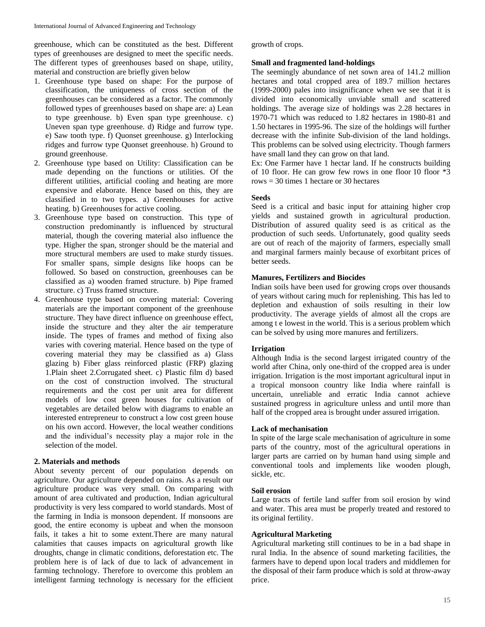greenhouse, which can be constituted as the best. Different types of greenhouses are designed to meet the specific needs. The different types of greenhouses based on shape, utility, material and construction are briefly given below

- 1. Greenhouse type based on shape: For the purpose of classification, the uniqueness of cross section of the greenhouses can be considered as a factor. The commonly followed types of greenhouses based on shape are: a) Lean to type greenhouse. b) Even span type greenhouse. c) Uneven span type greenhouse. d) Ridge and furrow type. e) Saw tooth type. f) Quonset greenhouse. g) Interlocking ridges and furrow type Quonset greenhouse. h) Ground to ground greenhouse.
- 2. Greenhouse type based on Utility: Classification can be made depending on the functions or utilities. Of the different utilities, artificial cooling and heating are more expensive and elaborate. Hence based on this, they are classified in to two types. a) Greenhouses for active heating. b) Greenhouses for active cooling.
- 3. Greenhouse type based on construction. This type of construction predominantly is influenced by structural material, though the covering material also influence the type. Higher the span, stronger should be the material and more structural members are used to make sturdy tissues. For smaller spans, simple designs like hoops can be followed. So based on construction, greenhouses can be classified as a) wooden framed structure. b) Pipe framed structure. c) Truss framed structure.
- 4. Greenhouse type based on covering material: Covering materials are the important component of the greenhouse structure. They have direct influence on greenhouse effect, inside the structure and they alter the air temperature inside. The types of frames and method of fixing also varies with covering material. Hence based on the type of covering material they may be classified as a) Glass glazing b) Fiber glass reinforced plastic (FRP) glazing 1.Plain sheet 2.Corrugated sheet. c) Plastic film d) based on the cost of construction involved. The structural requirements and the cost per unit area for different models of low cost green houses for cultivation of vegetables are detailed below with diagrams to enable an interested entrepreneur to construct a low cost green house on his own accord. However, the local weather conditions and the individual's necessity play a major role in the selection of the model.

## **2. Materials and methods**

About seventy percent of our population depends on agriculture. Our agriculture depended on rains. As a result our agriculture produce was very small. On comparing with amount of area cultivated and production, Indian agricultural productivity is very less compared to world standards. Most of the farming in India is monsoon dependent. If monsoons are good, the entire economy is upbeat and when the monsoon fails, it takes a hit to some extent.There are many natural calamities that causes impacts on agricultural growth like droughts, change in climatic conditions, deforestation etc. The problem here is of lack of due to lack of advancement in farming technology. Therefore to overcome this problem an intelligent farming technology is necessary for the efficient

growth of crops.

## **Small and fragmented land-holdings**

The seemingly abundance of net sown area of 141.2 million hectares and total cropped area of 189.7 million hectares (1999-2000) pales into insignificance when we see that it is divided into economically unviable small and scattered holdings. The average size of holdings was 2.28 hectares in 1970-71 which was reduced to 1.82 hectares in 1980-81 and 1.50 hectares in 1995-96. The size of the holdings will further decrease with the infinite Sub-division of the land holdings. This problems can be solved using electricity. Though farmers have small land they can grow on that land.

Ex: One Farmer have 1 hectar land. If he constructs building of 10 floor. He can grow few rows in one floor 10 floor \*3 rows = 30 times 1 hectare or 30 hectares

## **Seeds**

Seed is a critical and basic input for attaining higher crop yields and sustained growth in agricultural production. Distribution of assured quality seed is as critical as the production of such seeds. Unfortunately, good quality seeds are out of reach of the majority of farmers, especially small and marginal farmers mainly because of exorbitant prices of better seeds.

## **Manures, Fertilizers and Biocides**

Indian soils have been used for growing crops over thousands of years without caring much for replenishing. This has led to depletion and exhaustion of soils resulting in their low productivity. The average yields of almost all the crops are among t e lowest in the world. This is a serious problem which can be solved by using more manures and fertilizers.

## **Irrigation**

Although India is the second largest irrigated country of the world after China, only one-third of the cropped area is under irrigation. Irrigation is the most important agricultural input in a tropical monsoon country like India where rainfall is uncertain, unreliable and erratic India cannot achieve sustained progress in agriculture unless and until more than half of the cropped area is brought under assured irrigation.

## **Lack of mechanisation**

In spite of the large scale mechanisation of agriculture in some parts of the country, most of the agricultural operations in larger parts are carried on by human hand using simple and conventional tools and implements like wooden plough, sickle, etc.

### **Soil erosion**

Large tracts of fertile land suffer from soil erosion by wind and water. This area must be properly treated and restored to its original fertility.

### **Agricultural Marketing**

Agricultural marketing still continues to be in a bad shape in rural India. In the absence of sound marketing facilities, the farmers have to depend upon local traders and middlemen for the disposal of their farm produce which is sold at throw-away price.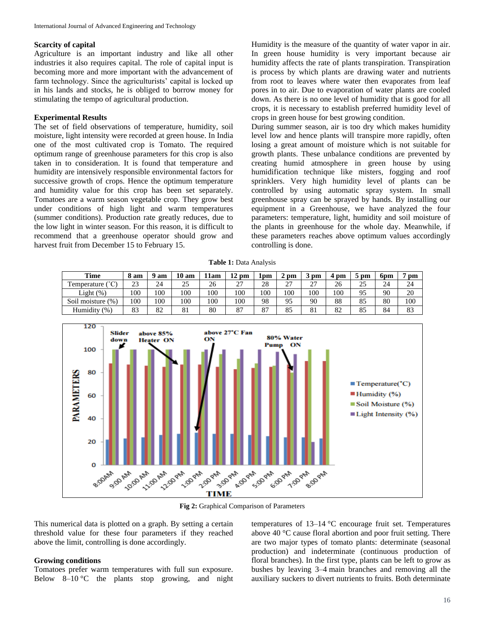#### **Scarcity of capital**

Agriculture is an important industry and like all other industries it also requires capital. The role of capital input is becoming more and more important with the advancement of farm technology. Since the agriculturists' capital is locked up in his lands and stocks, he is obliged to borrow money for stimulating the tempo of agricultural production.

### **Experimental Results**

The set of field observations of temperature, humidity, soil moisture, light intensity were recorded at green house. In India one of the most cultivated crop is Tomato. The required optimum range of greenhouse parameters for this crop is also taken in to consideration. It is found that temperature and humidity are intensively responsible environmental factors for successive growth of crops. Hence the optimum temperature and humidity value for this crop has been set separately. Tomatoes are a warm season vegetable crop. They grow best under conditions of high light and warm temperatures (summer conditions). Production rate greatly reduces, due to the low light in winter season. For this reason, it is difficult to recommend that a greenhouse operator should grow and harvest fruit from December 15 to February 15.

Humidity is the measure of the quantity of water vapor in air. In green house humidity is very important because air humidity affects the rate of plants transpiration. Transpiration is process by which plants are drawing water and nutrients from root to leaves where water then evaporates from leaf pores in to air. Due to evaporation of water plants are cooled down. As there is no one level of humidity that is good for all crops, it is necessary to establish preferred humidity level of crops in green house for best growing condition.

During summer season, air is too dry which makes humidity level low and hence plants will transpire more rapidly, often losing a great amount of moisture which is not suitable for growth plants. These unbalance conditions are prevented by creating humid atmosphere in green house by using humidification technique like misters, fogging and roof sprinklers. Very high humidity level of plants can be controlled by using automatic spray system. In small greenhouse spray can be sprayed by hands. By installing our equipment in a Greenhouse, we have analyzed the four parameters: temperature, light, humidity and soil moisture of the plants in greenhouse for the whole day. Meanwhile, if these parameters reaches above optimum values accordingly controlling is done.

**Table 1:** Data Analysis

| Time                 | ' am | am  | 10<br>am | 11am | pm      | lpm | pm                   | pm             | pm  | $_{\rm pm}$ | 6pm | pm  |
|----------------------|------|-----|----------|------|---------|-----|----------------------|----------------|-----|-------------|-----|-----|
| $\sim$<br>emperature | 23   | 24  | 25       | 26   | 27<br>∼ | 28  | $\sim$<br>، سه       | 27<br><u>_</u> | 26  | 25          | 24  | 24  |
| Light (%)            | 100  | 100 | 100      | 100  | 100     | 100 | 100                  | 100            | 100 | 95          | 90  | 20  |
| Soil moisture (%)    | 100  | 100 | 100      | 100  | 100     | 98  | Q <sub>5</sub><br>フコ | 90             | 88  | 85          | 80  | 100 |
| Humidity<br>(% )     | 83   | 82  | 81       | 80   | 87      | 87  | 85                   | 81             | 82  | 85          | 84  | 83  |



**Fig 2:** Graphical Comparison of Parameters

This numerical data is plotted on a graph. By setting a certain threshold value for these four parameters if they reached above the limit, controlling is done accordingly.

#### **Growing conditions**

Tomatoes prefer warm temperatures with full sun exposure. Below 8–10 °C the plants stop growing, and night

temperatures of 13–14 °C encourage fruit set. Temperatures above 40 °C cause floral abortion and poor fruit setting. There are two major types of tomato plants: determinate (seasonal production) and indeterminate (continuous production of floral branches). In the first type, plants can be left to grow as bushes by leaving 3–4 main branches and removing all the auxiliary suckers to divert nutrients to fruits. Both determinate